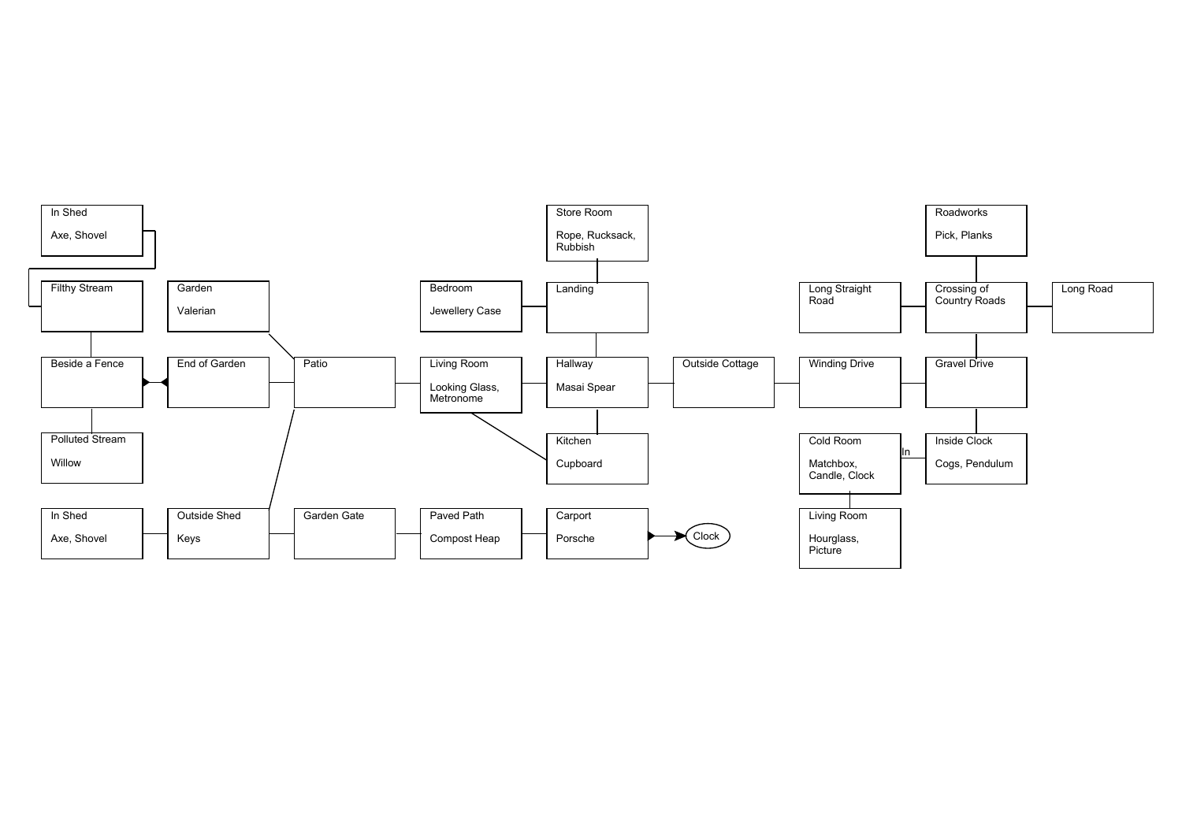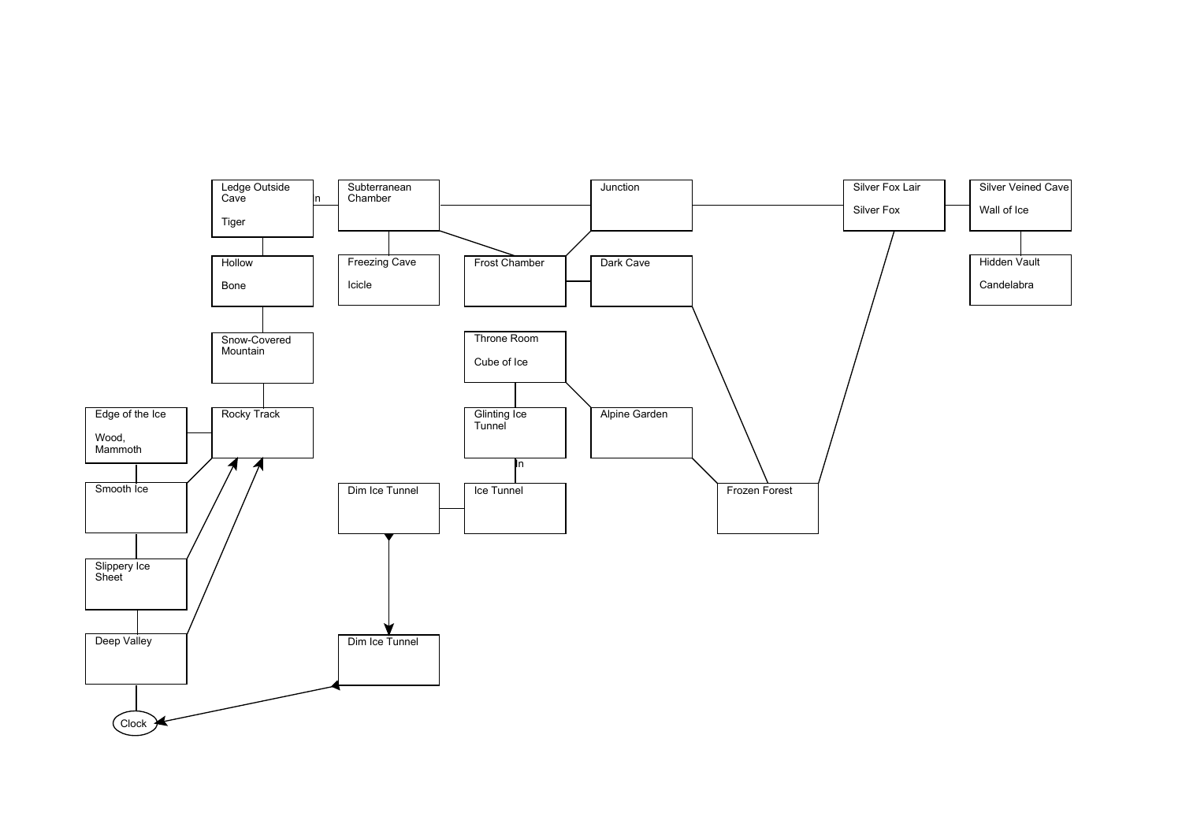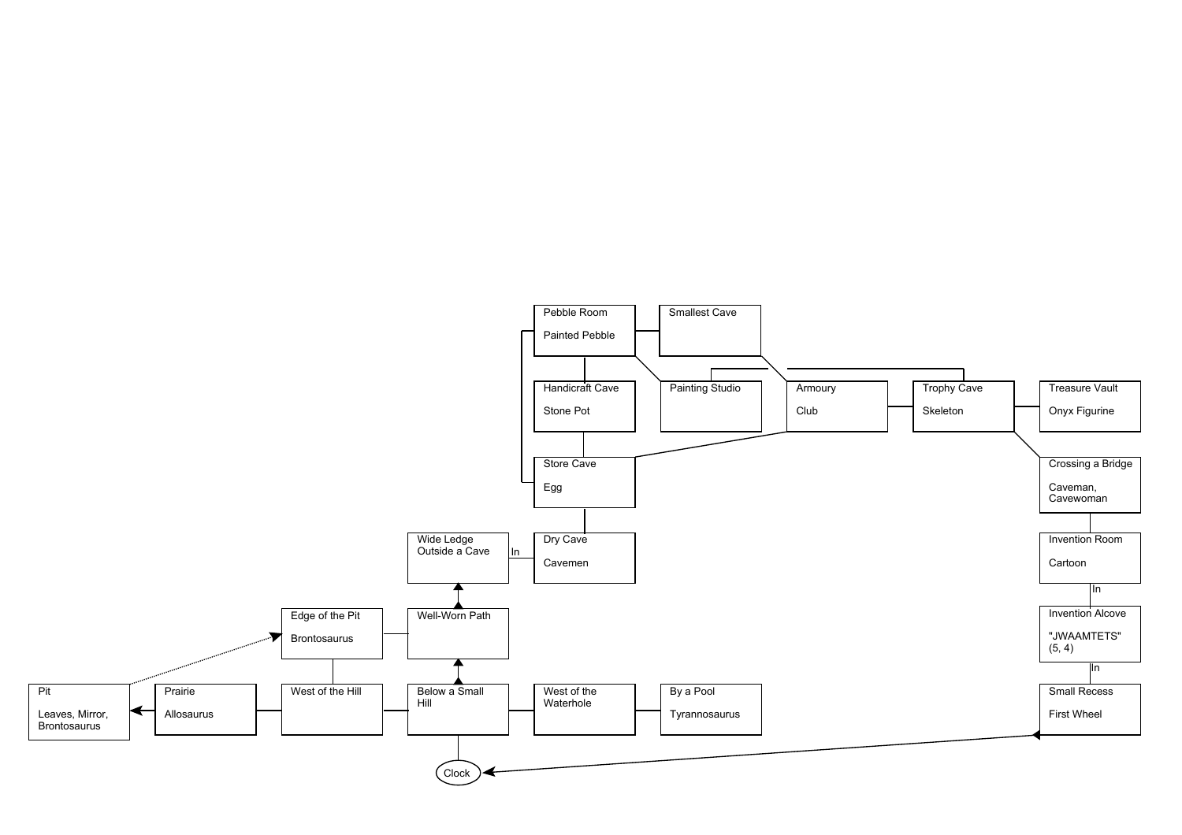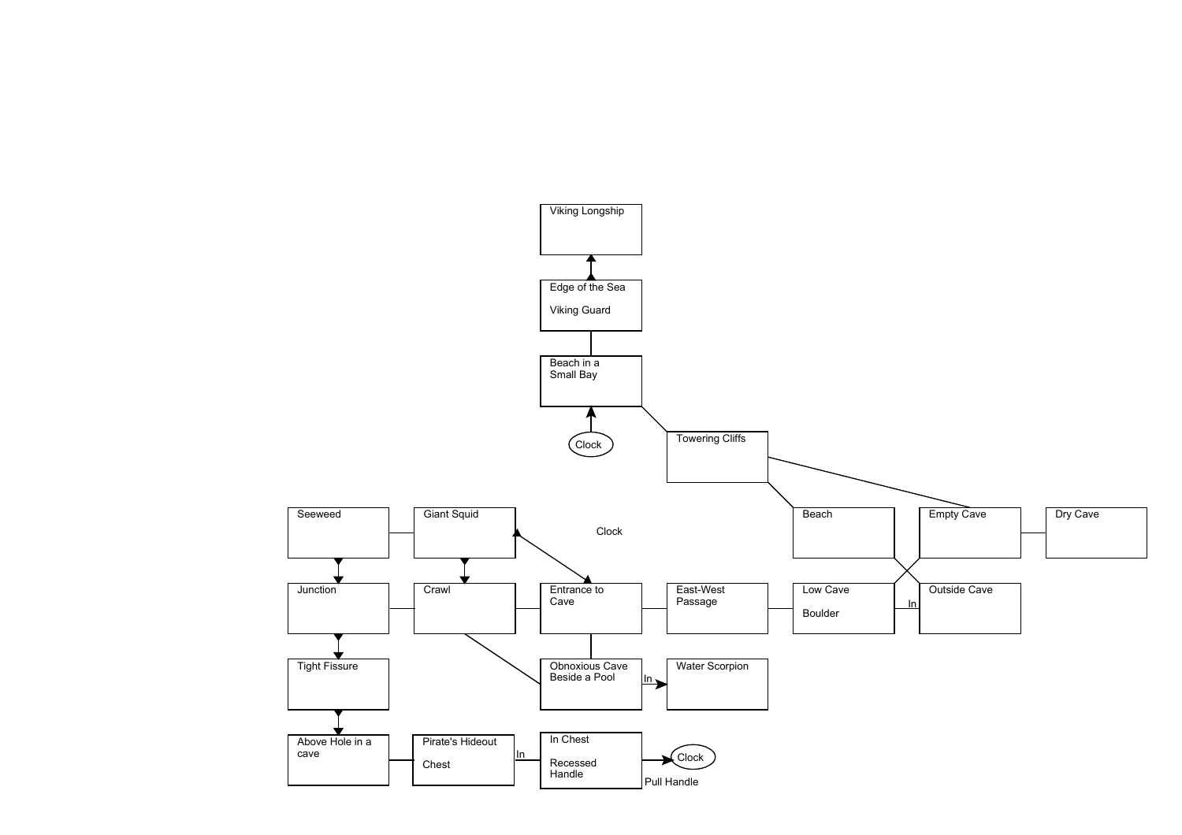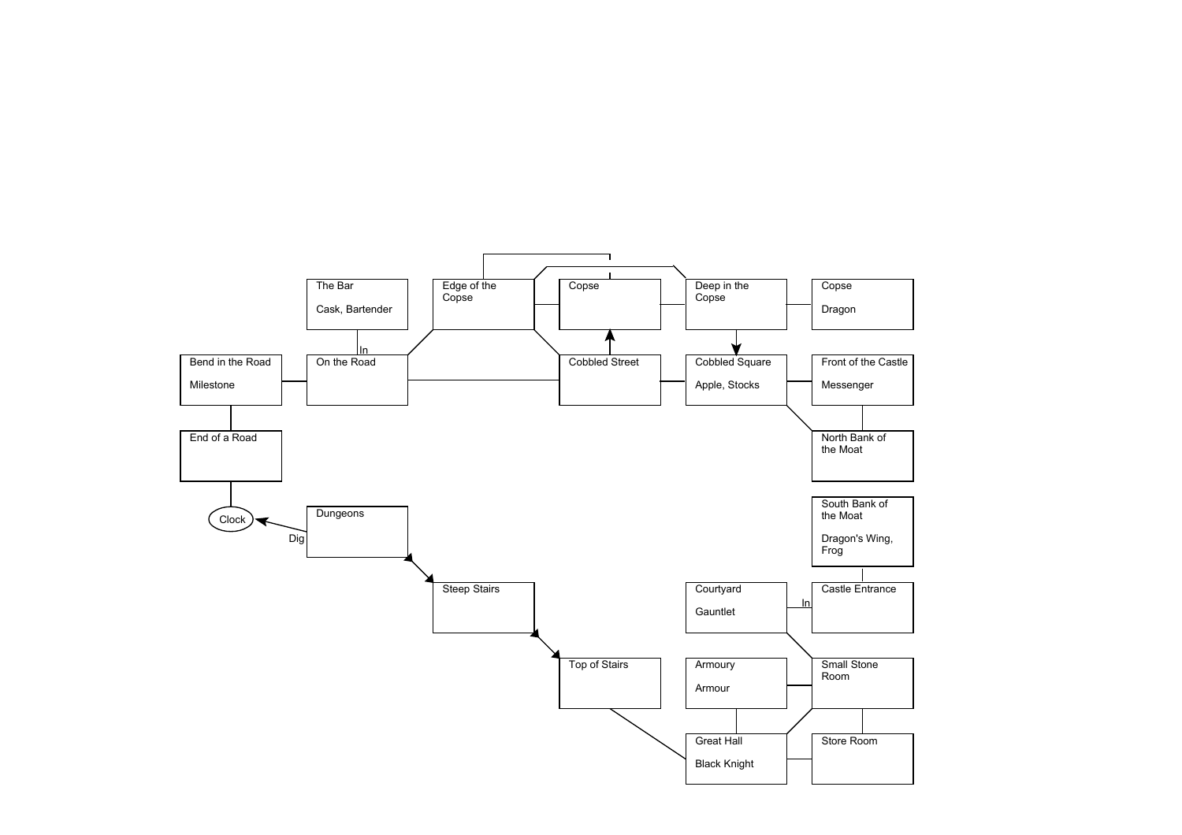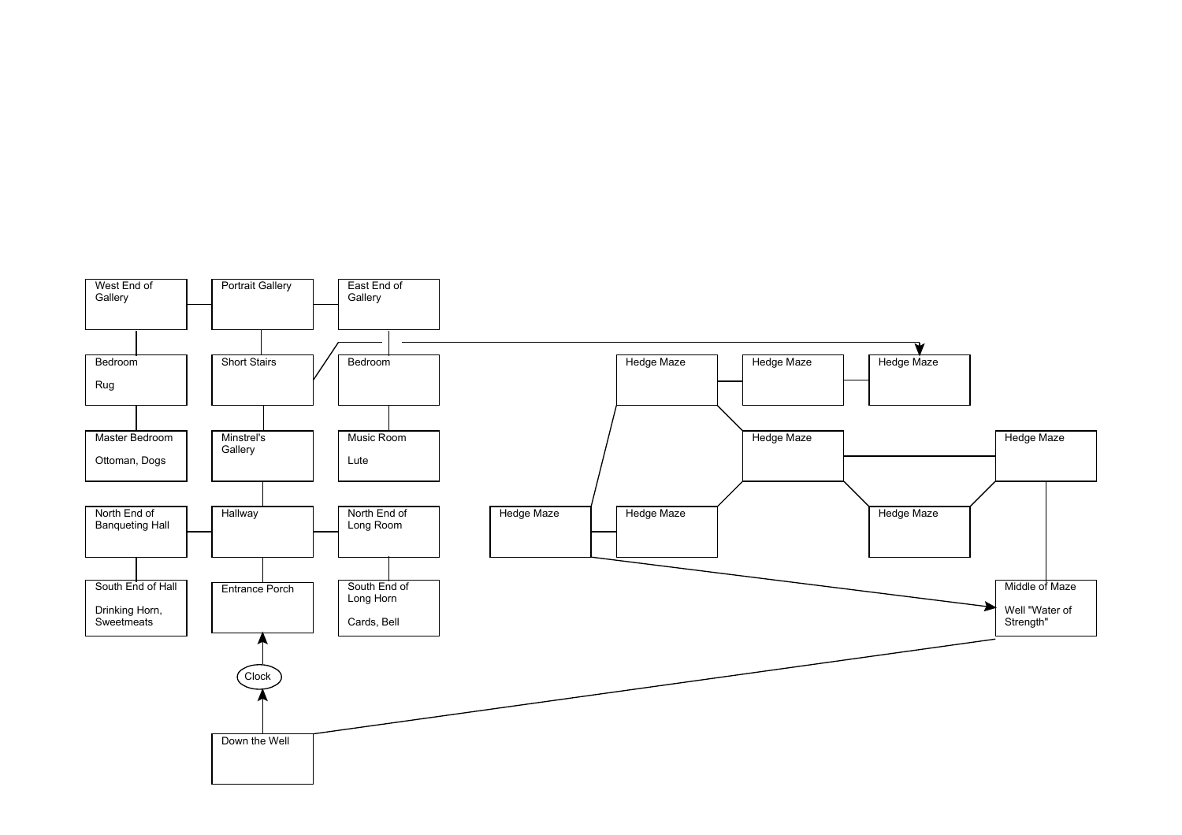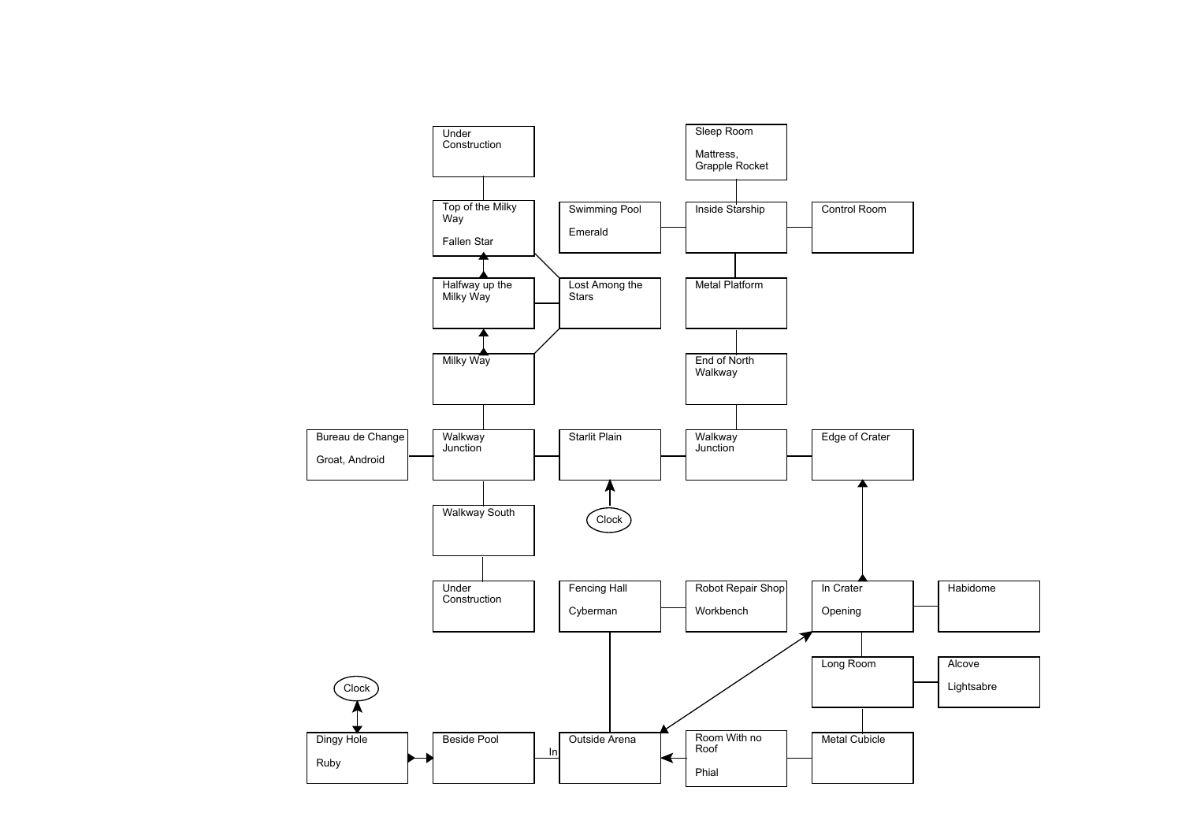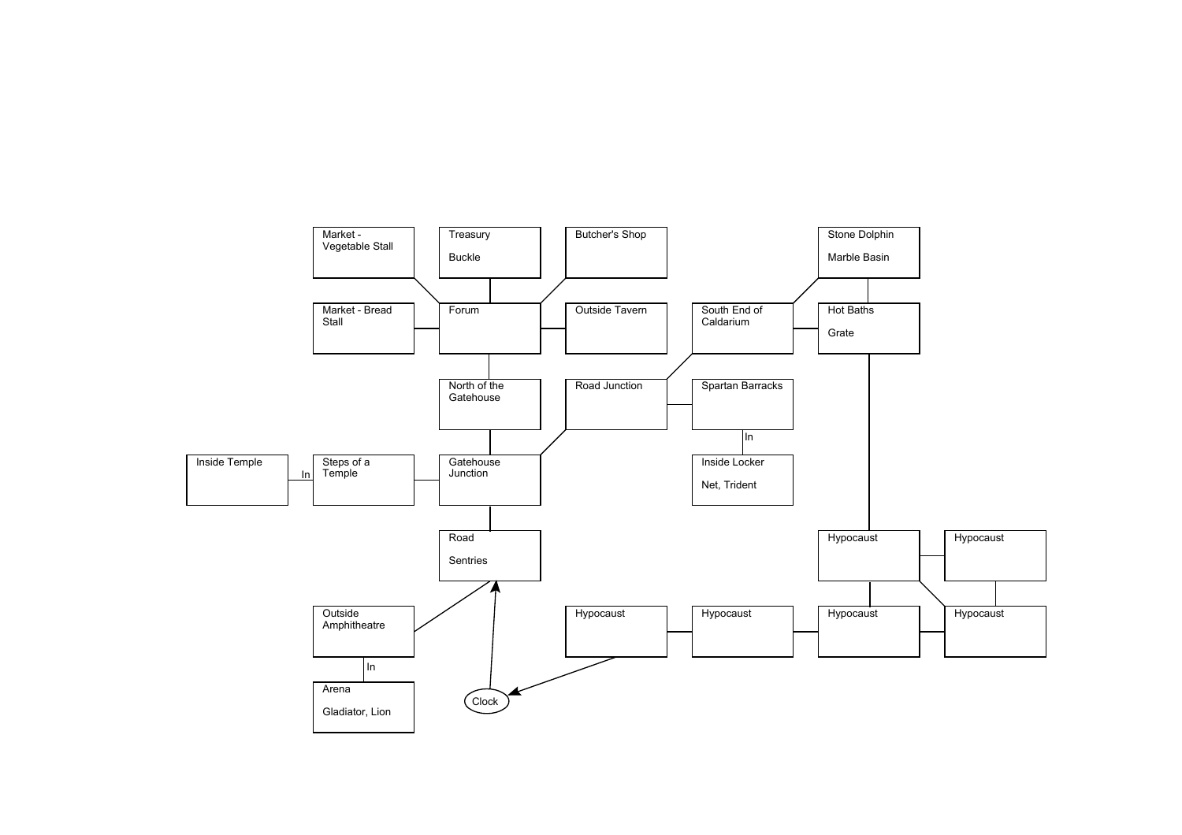